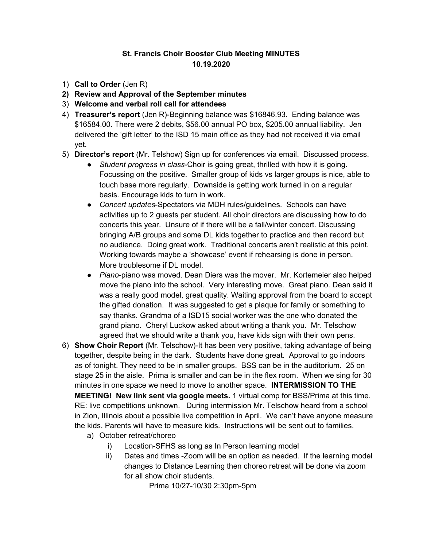## **St. Francis Choir Booster Club Meeting MINUTES 10.19.2020**

- 1) **Call to Order** (Jen R)
- **2) Review and Approval of the September minutes**
- 3) **Welcome and verbal roll call for attendees**
- 4) **Treasurer's report** (Jen R)-Beginning balance was \$16846.93. Ending balance was \$16584.00. There were 2 debits, \$56.00 annual PO box, \$205.00 annual liability. Jen delivered the 'gift letter' to the ISD 15 main office as they had not received it via email yet.
- 5) **Director's report** (Mr. Telshow) Sign up for conferences via email. Discussed process.
	- *Student progress in class*-Choir is going great, thrilled with how it is going. Focussing on the positive. Smaller group of kids vs larger groups is nice, able to touch base more regularly. Downside is getting work turned in on a regular basis. Encourage kids to turn in work.
	- *Concert updates*-Spectators via MDH rules/guidelines. Schools can have activities up to 2 guests per student. All choir directors are discussing how to do concerts this year. Unsure of if there will be a fall/winter concert. Discussing bringing A/B groups and some DL kids together to practice and then record but no audience. Doing great work. Traditional concerts aren't realistic at this point. Working towards maybe a 'showcase' event if rehearsing is done in person. More troublesome if DL model.
	- *Piano*-piano was moved. Dean Diers was the mover. Mr. Kortemeier also helped move the piano into the school. Very interesting move. Great piano. Dean said it was a really good model, great quality. Waiting approval from the board to accept the gifted donation. It was suggested to get a plaque for family or something to say thanks. Grandma of a ISD15 social worker was the one who donated the grand piano. Cheryl Luckow asked about writing a thank you. Mr. Telschow agreed that we should write a thank you, have kids sign with their own pens.
- 6) **Show Choir Report** (Mr. Telschow)-It has been very positive, taking advantage of being together, despite being in the dark. Students have done great. Approval to go indoors as of tonight. They need to be in smaller groups. BSS can be in the auditorium. 25 on stage 25 in the aisle. Prima is smaller and can be in the flex room. When we sing for 30 minutes in one space we need to move to another space. **INTERMISSION TO THE MEETING! New link sent via google meets.** 1 virtual comp for BSS/Prima at this time. RE: live competitions unknown. During intermission Mr. Telschow heard from a school in Zion, Illinois about a possible live competition in April. We can't have anyone measure the kids. Parents will have to measure kids. Instructions will be sent out to families.
	- a) October retreat/choreo
		- i) Location-SFHS as long as In Person learning model
		- ii) Dates and times -Zoom will be an option as needed. If the learning model changes to Distance Learning then choreo retreat will be done via zoom for all show choir students.

Prima 10/27-10/30 2:30pm-5pm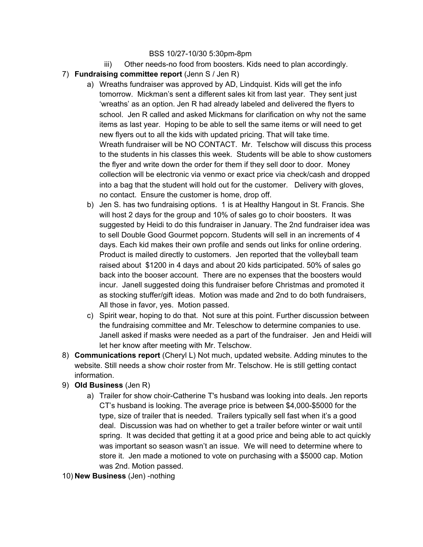## BSS 10/27-10/30 5:30pm-8pm

- iii) Other needs-no food from boosters. Kids need to plan accordingly.
- 7) **Fundraising committee report** (Jenn S / Jen R)
	- a) Wreaths fundraiser was approved by AD, Lindquist. Kids will get the info tomorrow. Mickman's sent a different sales kit from last year. They sent just 'wreaths' as an option. Jen R had already labeled and delivered the flyers to school. Jen R called and asked Mickmans for clarification on why not the same items as last year. Hoping to be able to sell the same items or will need to get new flyers out to all the kids with updated pricing. That will take time. Wreath fundraiser will be NO CONTACT. Mr. Telschow will discuss this process to the students in his classes this week. Students will be able to show customers the flyer and write down the order for them if they sell door to door. Money collection will be electronic via venmo or exact price via check/cash and dropped into a bag that the student will hold out for the customer. Delivery with gloves, no contact. Ensure the customer is home, drop off.
	- b) Jen S. has two fundraising options. 1 is at Healthy Hangout in St. Francis. She will host 2 days for the group and 10% of sales go to choir boosters. It was suggested by Heidi to do this fundraiser in January. The 2nd fundraiser idea was to sell Double Good Gourmet popcorn. Students will sell in an increments of 4 days. Each kid makes their own profile and sends out links for online ordering. Product is mailed directly to customers. Jen reported that the volleyball team raised about \$1200 in 4 days and about 20 kids participated. 50% of sales go back into the booser account. There are no expenses that the boosters would incur. Janell suggested doing this fundraiser before Christmas and promoted it as stocking stuffer/gift ideas. Motion was made and 2nd to do both fundraisers, All those in favor, yes. Motion passed.
	- c) Spirit wear, hoping to do that. Not sure at this point. Further discussion between the fundraising committee and Mr. Teleschow to determine companies to use. Janell asked if masks were needed as a part of the fundraiser. Jen and Heidi will let her know after meeting with Mr. Telschow.
- 8) **Communications report** (Cheryl L) Not much, updated website. Adding minutes to the website. Still needs a show choir roster from Mr. Telschow. He is still getting contact information.
- 9) **Old Business** (Jen R)
	- a) Trailer for show choir-Catherine T's husband was looking into deals. Jen reports CT's husband is looking. The average price is between \$4,000-\$5000 for the type, size of trailer that is needed. Trailers typically sell fast when it's a good deal. Discussion was had on whether to get a trailer before winter or wait until spring. It was decided that getting it at a good price and being able to act quickly was important so season wasn't an issue. We will need to determine where to store it. Jen made a motioned to vote on purchasing with a \$5000 cap. Motion was 2nd. Motion passed.

10) **New Business** (Jen) -nothing